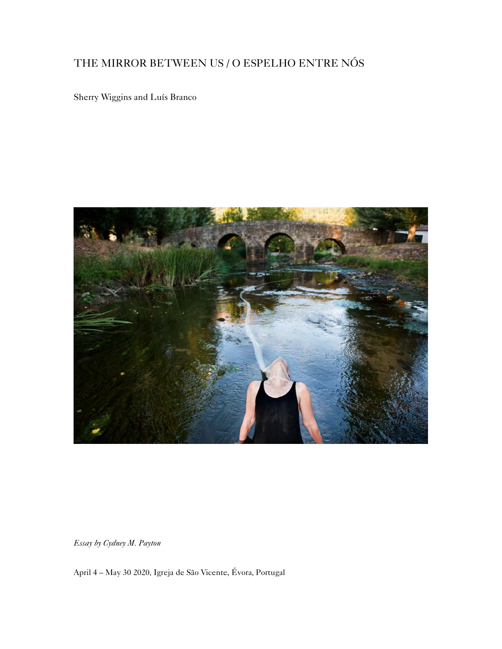## THE MIRROR BETWEEN US / O ESPELHO ENTRE NÓS

Sherry Wiggins and Luís Branco



*Essay by Cydney M. Payton* 

April 4 – May 30 2020, Igreja de São Vicente, Évora, Portugal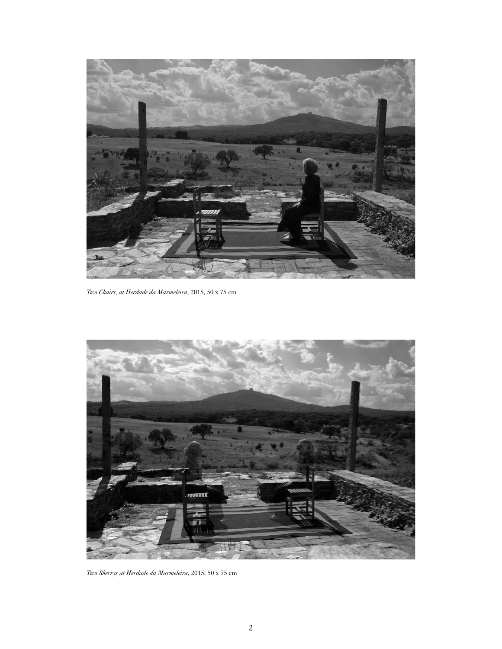

*Two Chairs, at Herdade da Marmeleira*, 2015, 50 x 75 cm



*Two Sherrys at Herdade da Marmeleira*, 2015, 50 x 75 cm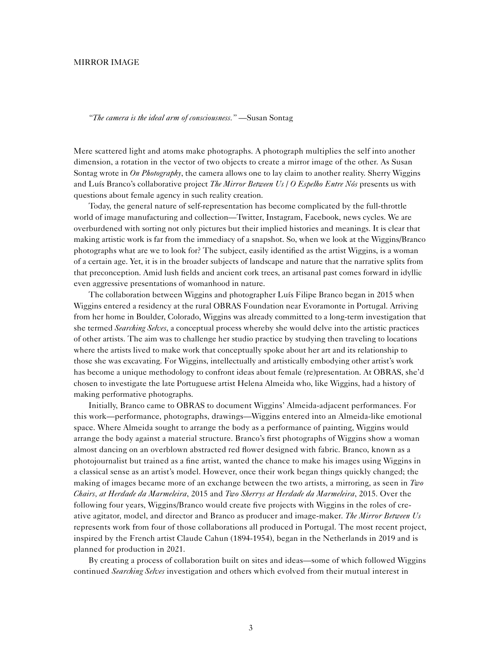## MIRROR IMAGE

*"The camera is the ideal arm of consciousness."* —Susan Sontag

Mere scattered light and atoms make photographs. A photograph multiplies the self into another dimension, a rotation in the vector of two objects to create a mirror image of the other. As Susan Sontag wrote in *On Photography*, the camera allows one to lay claim to another reality. Sherry Wiggins and Luís Branco's collaborative project *The Mirror Between Us* / *O Espelho Entre Nós* presents us with questions about female agency in such reality creation.

Today, the general nature of self-representation has become complicated by the full-throttle world of image manufacturing and collection—Twitter, Instagram, Facebook, news cycles. We are overburdened with sorting not only pictures but their implied histories and meanings. It is clear that making artistic work is far from the immediacy of a snapshot. So, when we look at the Wiggins/Branco photographs what are we to look for? The subject, easily identified as the artist Wiggins, is a woman of a certain age. Yet, it is in the broader subjects of landscape and nature that the narrative splits from that preconception. Amid lush fields and ancient cork trees, an artisanal past comes forward in idyllic even aggressive presentations of womanhood in nature.

The collaboration between Wiggins and photographer Luís Filipe Branco began in 2015 when Wiggins entered a residency at the rural OBRAS Foundation near Evoramonte in Portugal. Arriving from her home in Boulder, Colorado, Wiggins was already committed to a long-term investigation that she termed *Searching Selves*, a conceptual process whereby she would delve into the artistic practices of other artists. The aim was to challenge her studio practice by studying then traveling to locations where the artists lived to make work that conceptually spoke about her art and its relationship to those she was excavating. For Wiggins, intellectually and artistically embodying other artist's work has become a unique methodology to confront ideas about female (re)presentation. At OBRAS, she'd chosen to investigate the late Portuguese artist Helena Almeida who, like Wiggins, had a history of making performative photographs.

Initially, Branco came to OBRAS to document Wiggins' Almeida-adjacent performances. For this work—performance, photographs, drawings—Wiggins entered into an Almeida-like emotional space. Where Almeida sought to arrange the body as a performance of painting, Wiggins would arrange the body against a material structure. Branco's first photographs of Wiggins show a woman almost dancing on an overblown abstracted red flower designed with fabric. Branco, known as a photojournalist but trained as a fine artist, wanted the chance to make his images using Wiggins in a classical sense as an artist's model. However, once their work began things quickly changed; the making of images became more of an exchange between the two artists, a mirroring, as seen in *Two Chairs, at Herdade da Marmeleira*, 2015 and *Two Sherrys at Herdade da Marmeleira*, 2015. Over the following four years, Wiggins/Branco would create five projects with Wiggins in the roles of creative agitator, model, and director and Branco as producer and image-maker. *The Mirror Between Us* represents work from four of those collaborations all produced in Portugal. The most recent project, inspired by the French artist Claude Cahun (1894-1954), began in the Netherlands in 2019 and is planned for production in 2021.

By creating a process of collaboration built on sites and ideas—some of which followed Wiggins continued *Searching Selves* investigation and others which evolved from their mutual interest in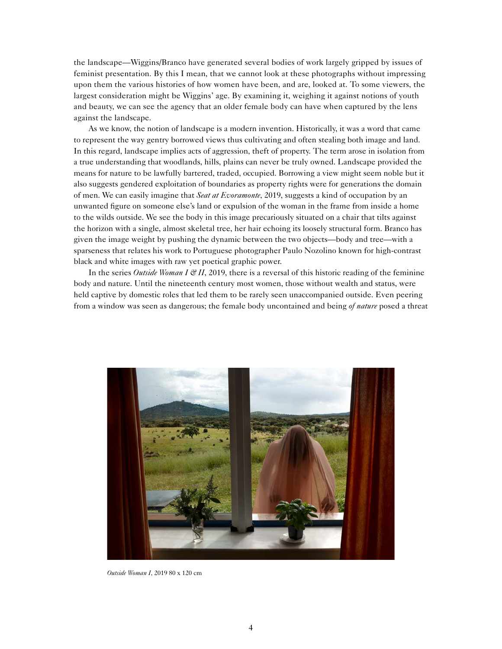the landscape—Wiggins/Branco have generated several bodies of work largely gripped by issues of feminist presentation. By this I mean, that we cannot look at these photographs without impressing upon them the various histories of how women have been, and are, looked at. To some viewers, the largest consideration might be Wiggins' age. By examining it, weighing it against notions of youth and beauty, we can see the agency that an older female body can have when captured by the lens against the landscape.

As we know, the notion of landscape is a modern invention. Historically, it was a word that came to represent the way gentry borrowed views thus cultivating and often stealing both image and land. In this regard, landscape implies acts of aggression, theft of property. The term arose in isolation from a true understanding that woodlands, hills, plains can never be truly owned. Landscape provided the means for nature to be lawfully bartered, traded, occupied. Borrowing a view might seem noble but it also suggests gendered exploitation of boundaries as property rights were for generations the domain of men. We can easily imagine that *Seat at Evoramonte*, 2019, suggests a kind of occupation by an unwanted figure on someone else's land or expulsion of the woman in the frame from inside a home to the wilds outside. We see the body in this image precariously situated on a chair that tilts against the horizon with a single, almost skeletal tree, her hair echoing its loosely structural form. Branco has given the image weight by pushing the dynamic between the two objects—body and tree—with a sparseness that relates his work to Portuguese photographer Paulo Nozolino known for high-contrast black and white images with raw yet poetical graphic power.

In the series *Outside Woman I & II*, 2019, there is a reversal of this historic reading of the feminine body and nature. Until the nineteenth century most women, those without wealth and status, were held captive by domestic roles that led them to be rarely seen unaccompanied outside. Even peering from a window was seen as dangerous; the female body uncontained and being *of nature* posed a threat



*Outside Woman I*, 2019 80 x 120 cm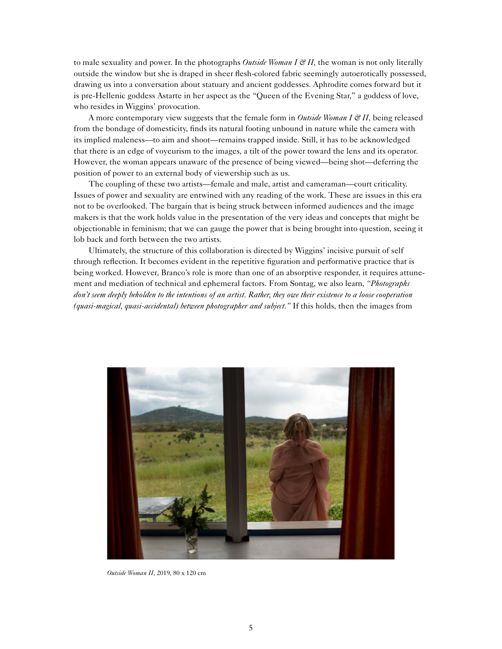to male sexuality and power. In the photographs *Outside Woman I & II,* the woman is not only literally outside the window but she is draped in sheer flesh-colored fabric seemingly autoerotically possessed, drawing us into a conversation about statuary and ancient goddesses. Aphrodite comes forward but it is pre-Hellenic goddess Astarte in her aspect as the "Queen of the Evening Star," a goddess of love, who resides in Wiggins' provocation.

A more contemporary view suggests that the female form in *Outside Woman I & II*, being released from the bondage of domesticity, finds its natural footing unbound in nature while the camera with its implied maleness—to aim and shoot—remains trapped inside. Still, it has to be acknowledged that there is an edge of voyeurism to the images, a tilt of the power toward the lens and its operator. However, the woman appears unaware of the presence of being viewed—being shot—deferring the position of power to an external body of viewership such as us.

The coupling of these two artists—female and male, artist and cameraman—court criticality. Issues of power and sexuality are entwined with any reading of the work. These are issues in this era not to be overlooked. The bargain that is being struck between informed audiences and the image makers is that the work holds value in the presentation of the very ideas and concepts that might be objectionable in feminism; that we can gauge the power that is being brought into question, seeing it lob back and forth between the two artists.

Ultimately, the structure of this collaboration is directed by Wiggins' incisive pursuit of self through reflection. It becomes evident in the repetitive figuration and performative practice that is being worked. However, Branco's role is more than one of an absorptive responder, it requires attunement and mediation of technical and ephemeral factors. From Sontag, we also learn, *"Photographs don't seem deeply beholden to the intentions of an artist. Rather, they owe their existence to a loose cooperation (quasi-magical, quasi-accidental) between photographer and subject."* If this holds, then the images from



*Outside Woman II*, 2019, 80 x 120 cm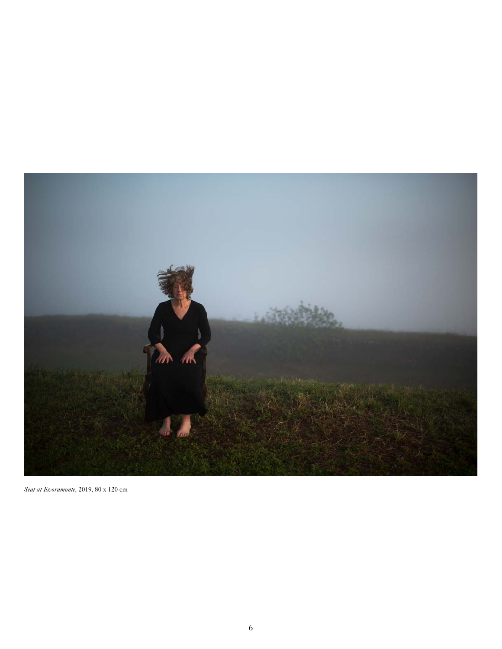

*Seat at Evoramonte*, 2019, 80 x 120 cm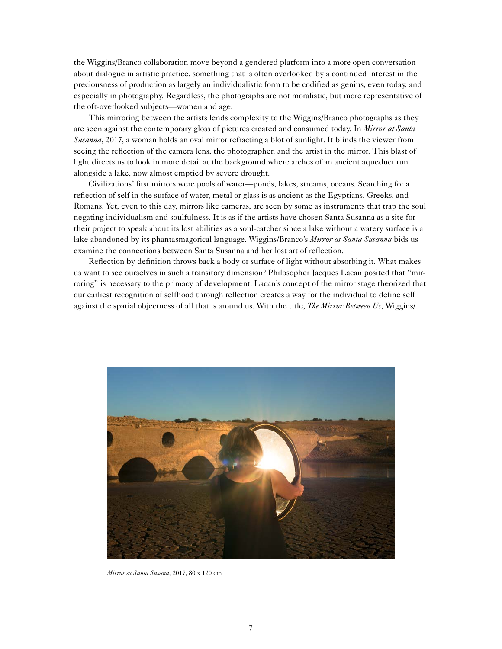the Wiggins/Branco collaboration move beyond a gendered platform into a more open conversation about dialogue in artistic practice, something that is often overlooked by a continued interest in the preciousness of production as largely an individualistic form to be codified as genius, even today, and especially in photography. Regardless, the photographs are not moralistic, but more representative of the oft-overlooked subjects—women and age.

This mirroring between the artists lends complexity to the Wiggins/Branco photographs as they are seen against the contemporary gloss of pictures created and consumed today. In *Mirror at Santa Susanna*, 2017, a woman holds an oval mirror refracting a blot of sunlight. It blinds the viewer from seeing the reflection of the camera lens, the photographer, and the artist in the mirror. This blast of light directs us to look in more detail at the background where arches of an ancient aqueduct run alongside a lake, now almost emptied by severe drought.

Civilizations' first mirrors were pools of water—ponds, lakes, streams, oceans. Searching for a reflection of self in the surface of water, metal or glass is as ancient as the Egyptians, Greeks, and Romans. Yet, even to this day, mirrors like cameras, are seen by some as instruments that trap the soul negating individualism and soulfulness. It is as if the artists have chosen Santa Susanna as a site for their project to speak about its lost abilities as a soul-catcher since a lake without a watery surface is a lake abandoned by its phantasmagorical language. Wiggins/Branco's *Mirror at Santa Susanna* bids us examine the connections between Santa Susanna and her lost art of reflection.

Reflection by definition throws back a body or surface of light without absorbing it. What makes us want to see ourselves in such a transitory dimension? Philosopher Jacques Lacan posited that "mirroring" is necessary to the primacy of development. Lacan's concept of the mirror stage theorized that our earliest recognition of selfhood through reflection creates a way for the individual to define self against the spatial objectness of all that is around us. With the title, *The Mirror Between Us*, Wiggins/



*Mirror at Santa Susana*, 2017, 80 x 120 cm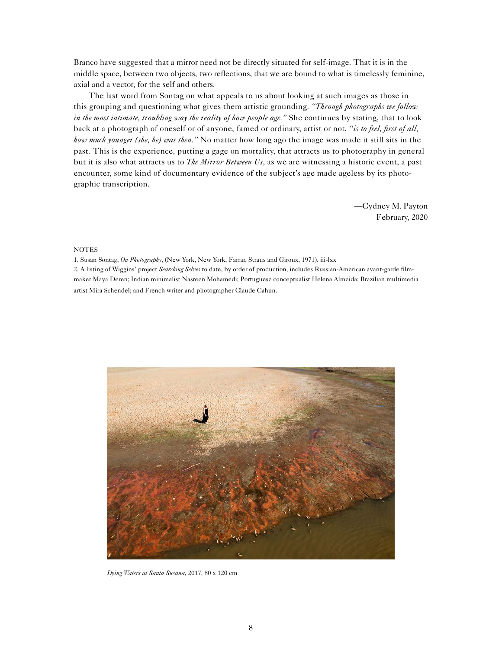Branco have suggested that a mirror need not be directly situated for self-image. That it is in the middle space, between two objects, two reflections, that we are bound to what is timelessly feminine, axial and a vector, for the self and others.

The last word from Sontag on what appeals to us about looking at such images as those in this grouping and questioning what gives them artistic grounding. *"Through photographs we follow in the most intimate, troubling way the reality of how people age."* She continues by stating, that to look back at a photograph of oneself or of anyone, famed or ordinary, artist or not, *"is to feel, first of all, how much younger (she, he) was then."* No matter how long ago the image was made it still sits in the past. This is the experience, putting a gage on mortality, that attracts us to photography in general but it is also what attracts us to *The Mirror Between Us*, as we are witnessing a historic event, a past encounter, some kind of documentary evidence of the subject's age made ageless by its photographic transcription.

> —Cydney M. Payton February, 2020

## **NOTES**

1. Susan Sontag, *On Photography*, (New York, New York, Farrar, Straus and Giroux, 1971). iii-lxx

2. A listing of Wiggins' project *Searching Selves* to date, by order of production, includes Russian-American avant-garde filmmaker Maya Deren; Indian minimalist Nasreen Mohamedi; Portuguese conceptualist Helena Almeida; Brazilian multimedia artist Mira Schendel; and French writer and photographer Claude Cahun.



*Dying Waters at Santa Susana*, 2017, 80 x 120 cm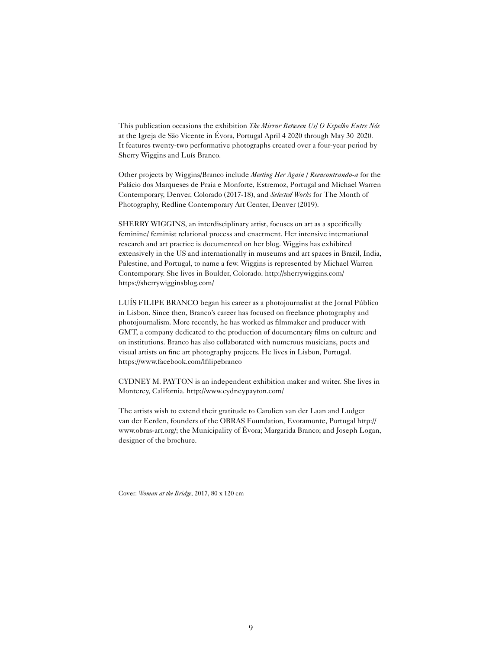This publication occasions the exhibition *The Mirror Between Us/ O Espelho Entre Nós*  at the Igreja de São Vicente in Évora, Portugal April 4 2020 through May 30 2020. It features twenty-two performative photographs created over a four-year period by Sherry Wiggins and Luís Branco.

Other projects by Wiggins/Branco include *Meeting Her Again / Reencontrando-a* for the Palácio dos Marqueses de Praia e Monforte, Estremoz, Portugal and Michael Warren Contemporary, Denver, Colorado (2017-18), and *Selected Works* for The Month of Photography, Redline Contemporary Art Center, Denver (2019).

SHERRY WIGGINS, an interdisciplinary artist, focuses on art as a specifically feminine/ feminist relational process and enactment. Her intensive international research and art practice is documented on her blog. Wiggins has exhibited extensively in the US and internationally in museums and art spaces in Brazil, India, Palestine, and Portugal, to name a few. Wiggins is represented by Michael Warren Contemporary. She lives in Boulder, Colorado.<http://sherrywiggins.com/> <https://sherrywigginsblog.com/>

LUÍS FILIPE BRANCO began his career as a photojournalist at the Jornal Público in Lisbon. Since then, Branco's career has focused on freelance photography and photojournalism. More recently, he has worked as filmmaker and producer with GMT, a company dedicated to the production of documentary films on culture and on institutions. Branco has also collaborated with numerous musicians, poets and visual artists on fine art photography projects. He lives in Lisbon, Portugal. <https://www.facebook.com/lfilipebranco>

CYDNEY M. PAYTON is an independent exhibition maker and writer. She lives in Monterey, California. <http://www.cydneypayton.com/>

The artists wish to extend their gratitude to Carolien van der Laan and Ludger van der Eerden, founders of the OBRAS Foundation, Evoramonte, Portugal [http://](http://www.obras-art.org/) [www.obras-art.org/](http://www.obras-art.org/); the Municipality of Évora; Margarida Branco; and Joseph Logan, designer of the brochure.

Cover: *Woman at the Bridge*, 2017, 80 x 120 cm